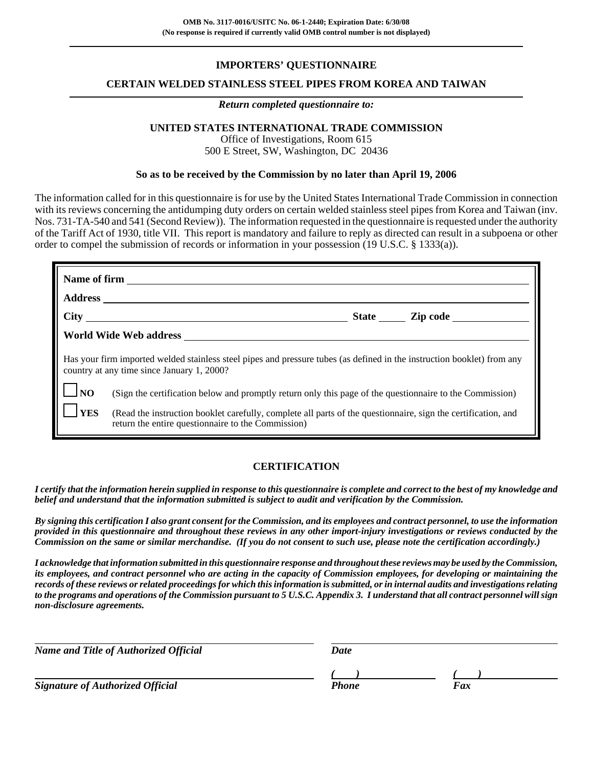## **IMPORTERS' QUESTIONNAIRE**

#### **CERTAIN WELDED STAINLESS STEEL PIPES FROM KOREA AND TAIWAN**

#### *Return completed questionnaire to:*

## **UNITED STATES INTERNATIONAL TRADE COMMISSION**

Office of Investigations, Room 615 500 E Street, SW, Washington, DC 20436

#### **So as to be received by the Commission by no later than April 19, 2006**

The information called for in this questionnaire is for use by the United States International Trade Commission in connection with its reviews concerning the antidumping duty orders on certain welded stainless steel pipes from Korea and Taiwan (inv. Nos. 731-TA-540 and 541 (Second Review)). The information requested in the questionnaire is requested under the authority of the Tariff Act of 1930, title VII. This report is mandatory and failure to reply as directed can result in a subpoena or other order to compel the submission of records or information in your possession (19 U.S.C. § 1333(a)).

|              | Has your firm imported welded stainless steel pipes and pressure tubes (as defined in the instruction booklet) from any<br>country at any time since January 1, 2000? |  |  |  |  |  |  |  |
|--------------|-----------------------------------------------------------------------------------------------------------------------------------------------------------------------|--|--|--|--|--|--|--|
| $\Box$ NO    | (Sign the certification below and promptly return only this page of the questionnaire to the Commission)                                                              |  |  |  |  |  |  |  |
| $\mathbf{Y}$ | (Read the instruction booklet carefully, complete all parts of the questionnaire, sign the certification, and<br>return the entire questionnaire to the Commission)   |  |  |  |  |  |  |  |

#### **CERTIFICATION**

*I certify that the information herein supplied in response to this questionnaire is complete and correct to the best of my knowledge and belief and understand that the information submitted is subject to audit and verification by the Commission.*

*By signing this certification I also grant consent for the Commission, and its employees and contract personnel, to use the information provided in this questionnaire and throughout these reviews in any other import-injury investigations or reviews conducted by the Commission on the same or similar merchandise. (If you do not consent to such use, please note the certification accordingly.)*

*I acknowledge that information submitted in this questionnaire response and throughout these reviews may be used by the Commission, its employees, and contract personnel who are acting in the capacity of Commission employees, for developing or maintaining the records of these reviews or related proceedings for which this information is submitted, or in internal audits and investigations relating to the programs and operations of the Commission pursuant to 5 U.S.C. Appendix 3. I understand that all contract personnel will sign non-disclosure agreements.*

| <b>Name and Title of Authorized Official</b> | Date  |     |  |
|----------------------------------------------|-------|-----|--|
|                                              |       |     |  |
| <b>Signature of Authorized Official</b>      | Phone | Fax |  |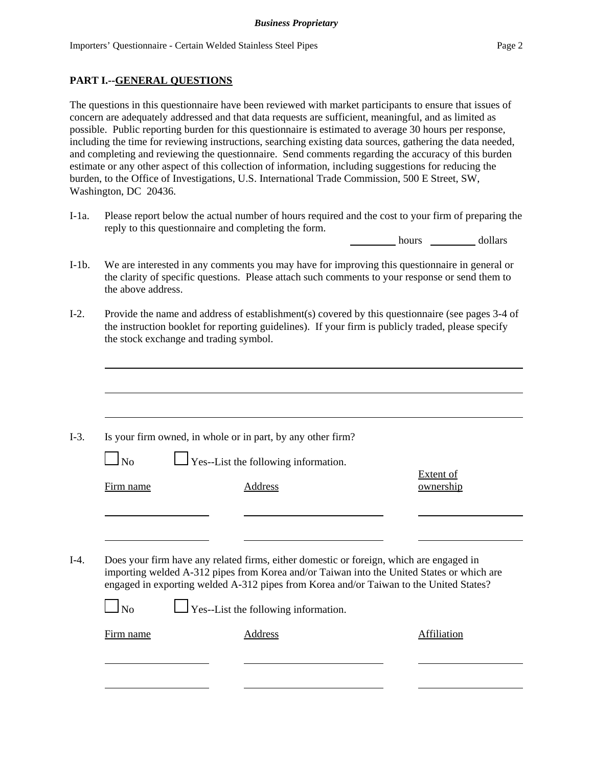## **PART I.--GENERAL QUESTIONS**

The questions in this questionnaire have been reviewed with market participants to ensure that issues of concern are adequately addressed and that data requests are sufficient, meaningful, and as limited as possible. Public reporting burden for this questionnaire is estimated to average 30 hours per response, including the time for reviewing instructions, searching existing data sources, gathering the data needed, and completing and reviewing the questionnaire. Send comments regarding the accuracy of this burden estimate or any other aspect of this collection of information, including suggestions for reducing the burden, to the Office of Investigations, U.S. International Trade Commission, 500 E Street, SW, Washington, DC 20436.

I-1a. Please report below the actual number of hours required and the cost to your firm of preparing the reply to this questionnaire and completing the form.

hours dollars

- I-1b. We are interested in any comments you may have for improving this questionnaire in general or the clarity of specific questions. Please attach such comments to your response or send them to the above address.
- I-2. Provide the name and address of establishment(s) covered by this questionnaire (see pages 3-4 of the instruction booklet for reporting guidelines). If your firm is publicly traded, please specify the stock exchange and trading symbol.

|           | Is your firm owned, in whole or in part, by any other firm?                                                                                                                                                                                                                    |                               |
|-----------|--------------------------------------------------------------------------------------------------------------------------------------------------------------------------------------------------------------------------------------------------------------------------------|-------------------------------|
| $\Box$ No | $\Box$ Yes--List the following information.                                                                                                                                                                                                                                    |                               |
| Firm name | Address                                                                                                                                                                                                                                                                        | <b>Extent of</b><br>ownership |
|           |                                                                                                                                                                                                                                                                                |                               |
|           |                                                                                                                                                                                                                                                                                |                               |
|           |                                                                                                                                                                                                                                                                                |                               |
|           | Does your firm have any related firms, either domestic or foreign, which are engaged in<br>importing welded A-312 pipes from Korea and/or Taiwan into the United States or which are<br>engaged in exporting welded A-312 pipes from Korea and/or Taiwan to the United States? |                               |
| <b>No</b> | $\Box$ Yes--List the following information.                                                                                                                                                                                                                                    |                               |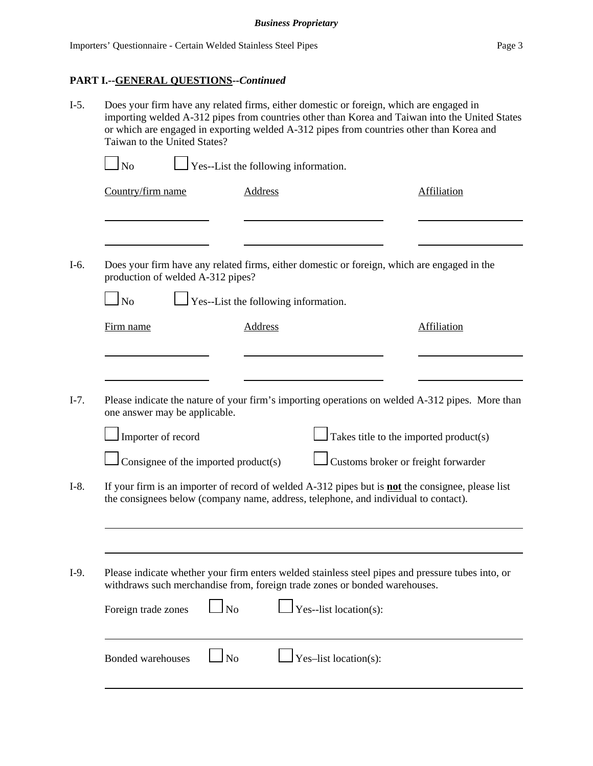## **PART I.--GENERAL QUESTIONS--***Continued*

| $I-5.$           | Does your firm have any related firms, either domestic or foreign, which are engaged in<br>importing welded A-312 pipes from countries other than Korea and Taiwan into the United States<br>or which are engaged in exporting welded A-312 pipes from countries other than Korea and<br>Taiwan to the United States? |                                                                                             |                                      |                                                                                                                                                                                                           |                                                                                                 |  |  |  |  |
|------------------|-----------------------------------------------------------------------------------------------------------------------------------------------------------------------------------------------------------------------------------------------------------------------------------------------------------------------|---------------------------------------------------------------------------------------------|--------------------------------------|-----------------------------------------------------------------------------------------------------------------------------------------------------------------------------------------------------------|-------------------------------------------------------------------------------------------------|--|--|--|--|
|                  | $\ln$                                                                                                                                                                                                                                                                                                                 | $\Box$ Yes--List the following information.                                                 |                                      |                                                                                                                                                                                                           |                                                                                                 |  |  |  |  |
|                  | Country/firm name                                                                                                                                                                                                                                                                                                     |                                                                                             | <b>Address</b>                       |                                                                                                                                                                                                           | <b>Affiliation</b>                                                                              |  |  |  |  |
| I-6.             | production of welded A-312 pipes?                                                                                                                                                                                                                                                                                     | Does your firm have any related firms, either domestic or foreign, which are engaged in the |                                      |                                                                                                                                                                                                           |                                                                                                 |  |  |  |  |
|                  | <b>No</b>                                                                                                                                                                                                                                                                                                             |                                                                                             | Yes--List the following information. |                                                                                                                                                                                                           |                                                                                                 |  |  |  |  |
|                  | Firm name                                                                                                                                                                                                                                                                                                             |                                                                                             | Address                              |                                                                                                                                                                                                           | <b>Affiliation</b>                                                                              |  |  |  |  |
| $I-7.$<br>$I-8.$ | one answer may be applicable.<br>Importer of record                                                                                                                                                                                                                                                                   | Consignee of the imported product(s)                                                        |                                      | $\Box$ Takes title to the imported product(s)<br>Customs broker or freight forwarder<br>If your firm is an importer of record of welded A-312 pipes but is <b>not</b> the consignee, please list          | Please indicate the nature of your firm's importing operations on welded A-312 pipes. More than |  |  |  |  |
|                  |                                                                                                                                                                                                                                                                                                                       |                                                                                             |                                      | the consignees below (company name, address, telephone, and individual to contact).                                                                                                                       |                                                                                                 |  |  |  |  |
| $I-9.$           | Foreign trade zones                                                                                                                                                                                                                                                                                                   | $\Box$ No                                                                                   |                                      | Please indicate whether your firm enters welded stainless steel pipes and pressure tubes into, or<br>withdraws such merchandise from, foreign trade zones or bonded warehouses.<br>Yes--list location(s): |                                                                                                 |  |  |  |  |
|                  | Bonded warehouses                                                                                                                                                                                                                                                                                                     | No                                                                                          |                                      | Yes-list location(s):                                                                                                                                                                                     |                                                                                                 |  |  |  |  |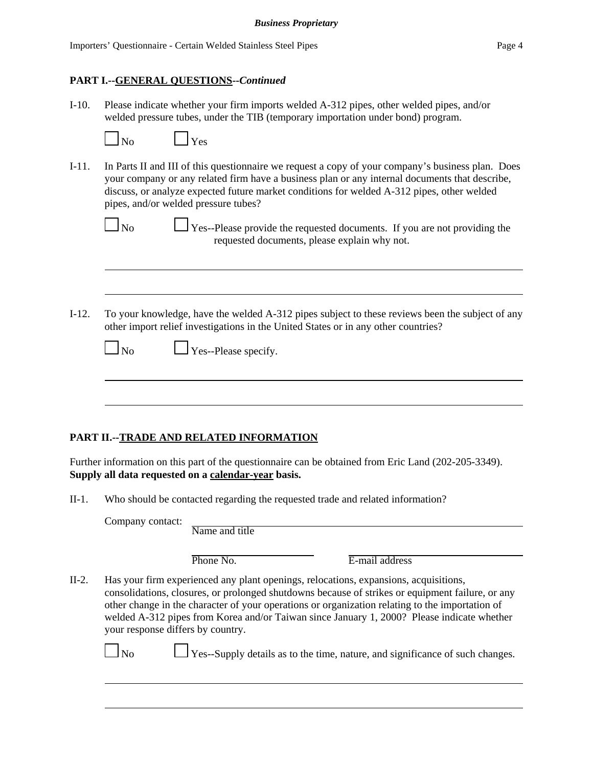$\overline{Y}$ es

#### **PART I.--GENERAL QUESTIONS--***Continued*

I-10. Please indicate whether your firm imports welded A-312 pipes, other welded pipes, and/or welded pressure tubes, under the TIB (temporary importation under bond) program.

| Nο |  |
|----|--|

I-11. In Parts II and III of this questionnaire we request a copy of your company's business plan. Does your company or any related firm have a business plan or any internal documents that describe, discuss, or analyze expected future market conditions for welded A-312 pipes, other welded pipes, and/or welded pressure tubes?

 $\Box$  No  $\Box$  Yes--Please provide the requested documents. If you are not providing the requested documents, please explain why not.

I-12. To your knowledge, have the welded A-312 pipes subject to these reviews been the subject of any other import relief investigations in the United States or in any other countries?

|  | $\Box$ No |  | $\Box$ Yes--Please specify. |
|--|-----------|--|-----------------------------|
|--|-----------|--|-----------------------------|

## **PART II.--TRADE AND RELATED INFORMATION**

Further information on this part of the questionnaire can be obtained from Eric Land (202-205-3349). **Supply all data requested on a calendar-year basis.**

II-1. Who should be contacted regarding the requested trade and related information?

Company contact:

Name and title

Phone No. **E**-mail address

II-2. Has your firm experienced any plant openings, relocations, expansions, acquisitions, consolidations, closures, or prolonged shutdowns because of strikes or equipment failure, or any other change in the character of your operations or organization relating to the importation of welded A-312 pipes from Korea and/or Taiwan since January 1, 2000? Please indicate whether your response differs by country.

 $N_0$   $\Box$  Yes--Supply details as to the time, nature, and significance of such changes.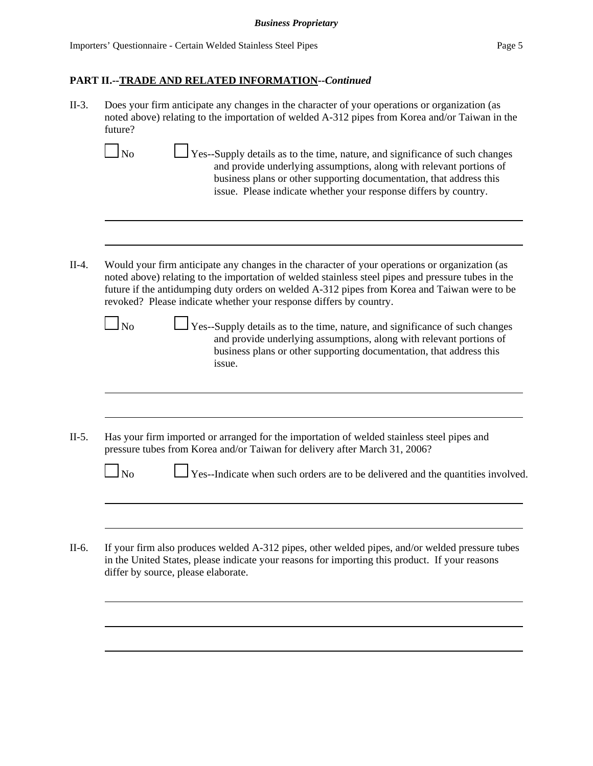issue.

- II-3. Does your firm anticipate any changes in the character of your operations or organization (as noted above) relating to the importation of welded A-312 pipes from Korea and/or Taiwan in the future?
- $\Box$  No  $\Box$  Yes--Supply details as to the time, nature, and significance of such changes and provide underlying assumptions, along with relevant portions of business plans or other supporting documentation, that address this issue. Please indicate whether your response differs by country. II-4. Would your firm anticipate any changes in the character of your operations or organization (as noted above) relating to the importation of welded stainless steel pipes and pressure tubes in the future if the antidumping duty orders on welded A-312 pipes from Korea and Taiwan were to be revoked? Please indicate whether your response differs by country.  $\Box$  No  $\Box$  Yes--Supply details as to the time, nature, and significance of such changes and provide underlying assumptions, along with relevant portions of business plans or other supporting documentation, that address this
- II-5. Has your firm imported or arranged for the importation of welded stainless steel pipes and pressure tubes from Korea and/or Taiwan for delivery after March 31, 2006?

| $\mathbf{\underline{I}}$ No |  | $\Box$ Yes--Indicate when such orders are to be delivered and the quantities involved |  |  |  |  |  |  |  |  |
|-----------------------------|--|---------------------------------------------------------------------------------------|--|--|--|--|--|--|--|--|
|-----------------------------|--|---------------------------------------------------------------------------------------|--|--|--|--|--|--|--|--|

II-6. If your firm also produces welded A-312 pipes, other welded pipes, and/or welded pressure tubes in the United States, please indicate your reasons for importing this product. If your reasons differ by source, please elaborate.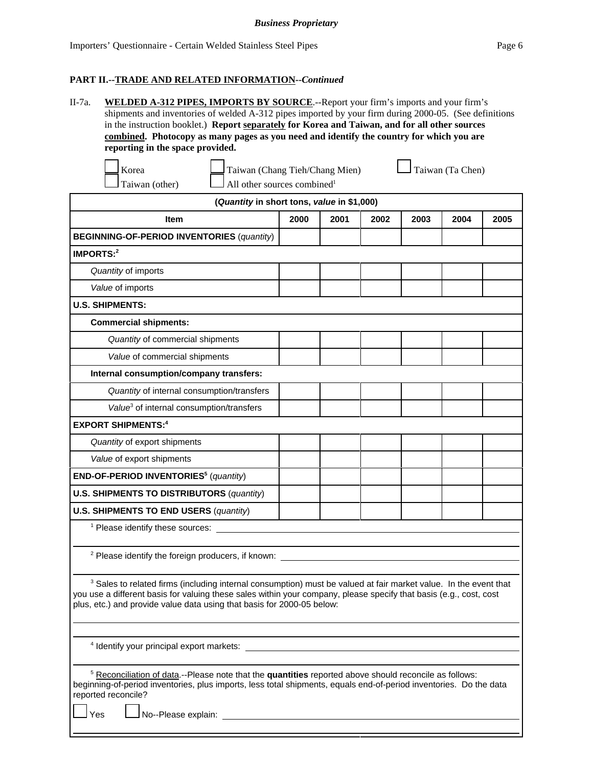| $II$ -7a. | WELDED A-312 PIPES, IMPORTS BY SOURCE.--Report your firm's imports and your firm's                     |
|-----------|--------------------------------------------------------------------------------------------------------|
|           | shipments and inventories of welded A-312 pipes imported by your firm during 2000-05. (See definitions |
|           | in the instruction booklet.) Report separately for Korea and Taiwan, and for all other sources         |
|           | combined. Photocopy as many pages as you need and identify the country for which you are               |
|           | reporting in the space provided.                                                                       |

| Korea          |
|----------------|
| 'aiwan (other) |

Taiwan (other)  $\Box$  All other sources combined<sup>1</sup>

Taiwan (Chang Tieh/Chang Mien)  $\Box$  Taiwan (Ta Chen)

| (Quantity in short tons, value in \$1,000)                                                                                                                                                                                                                                                                                  |                                                                                                                                                                                                                                         |      |      |      |      |      |  |  |  |
|-----------------------------------------------------------------------------------------------------------------------------------------------------------------------------------------------------------------------------------------------------------------------------------------------------------------------------|-----------------------------------------------------------------------------------------------------------------------------------------------------------------------------------------------------------------------------------------|------|------|------|------|------|--|--|--|
| <b>Item</b>                                                                                                                                                                                                                                                                                                                 | 2000                                                                                                                                                                                                                                    | 2001 | 2002 | 2003 | 2004 | 2005 |  |  |  |
| <b>BEGINNING-OF-PERIOD INVENTORIES (quantity)</b>                                                                                                                                                                                                                                                                           |                                                                                                                                                                                                                                         |      |      |      |      |      |  |  |  |
| <b>IMPORTS:2</b>                                                                                                                                                                                                                                                                                                            |                                                                                                                                                                                                                                         |      |      |      |      |      |  |  |  |
| Quantity of imports                                                                                                                                                                                                                                                                                                         |                                                                                                                                                                                                                                         |      |      |      |      |      |  |  |  |
| Value of imports                                                                                                                                                                                                                                                                                                            |                                                                                                                                                                                                                                         |      |      |      |      |      |  |  |  |
| <b>U.S. SHIPMENTS:</b>                                                                                                                                                                                                                                                                                                      |                                                                                                                                                                                                                                         |      |      |      |      |      |  |  |  |
| <b>Commercial shipments:</b>                                                                                                                                                                                                                                                                                                |                                                                                                                                                                                                                                         |      |      |      |      |      |  |  |  |
| Quantity of commercial shipments                                                                                                                                                                                                                                                                                            |                                                                                                                                                                                                                                         |      |      |      |      |      |  |  |  |
| Value of commercial shipments                                                                                                                                                                                                                                                                                               |                                                                                                                                                                                                                                         |      |      |      |      |      |  |  |  |
| Internal consumption/company transfers:                                                                                                                                                                                                                                                                                     |                                                                                                                                                                                                                                         |      |      |      |      |      |  |  |  |
| Quantity of internal consumption/transfers                                                                                                                                                                                                                                                                                  |                                                                                                                                                                                                                                         |      |      |      |      |      |  |  |  |
| Value <sup>3</sup> of internal consumption/transfers                                                                                                                                                                                                                                                                        |                                                                                                                                                                                                                                         |      |      |      |      |      |  |  |  |
| <b>EXPORT SHIPMENTS:4</b>                                                                                                                                                                                                                                                                                                   |                                                                                                                                                                                                                                         |      |      |      |      |      |  |  |  |
| Quantity of export shipments                                                                                                                                                                                                                                                                                                |                                                                                                                                                                                                                                         |      |      |      |      |      |  |  |  |
| Value of export shipments                                                                                                                                                                                                                                                                                                   |                                                                                                                                                                                                                                         |      |      |      |      |      |  |  |  |
| END-OF-PERIOD INVENTORIES <sup>5</sup> (quantity)                                                                                                                                                                                                                                                                           |                                                                                                                                                                                                                                         |      |      |      |      |      |  |  |  |
| <b>U.S. SHIPMENTS TO DISTRIBUTORS (quantity)</b>                                                                                                                                                                                                                                                                            |                                                                                                                                                                                                                                         |      |      |      |      |      |  |  |  |
| <b>U.S. SHIPMENTS TO END USERS (quantity)</b>                                                                                                                                                                                                                                                                               |                                                                                                                                                                                                                                         |      |      |      |      |      |  |  |  |
| <sup>1</sup> Please identify these sources:                                                                                                                                                                                                                                                                                 |                                                                                                                                                                                                                                         |      |      |      |      |      |  |  |  |
|                                                                                                                                                                                                                                                                                                                             |                                                                                                                                                                                                                                         |      |      |      |      |      |  |  |  |
| <sup>2</sup> Please identify the foreign producers, if known: __________                                                                                                                                                                                                                                                    |                                                                                                                                                                                                                                         |      |      |      |      |      |  |  |  |
| <sup>3</sup> Sales to related firms (including internal consumption) must be valued at fair market value. In the event that<br>you use a different basis for valuing these sales within your company, please specify that basis (e.g., cost, cost<br>plus, etc.) and provide value data using that basis for 2000-05 below: |                                                                                                                                                                                                                                         |      |      |      |      |      |  |  |  |
| <sup>4</sup> Identify your principal export markets:                                                                                                                                                                                                                                                                        |                                                                                                                                                                                                                                         |      |      |      |      |      |  |  |  |
|                                                                                                                                                                                                                                                                                                                             | <sup>5</sup> Reconciliation of data.--Please note that the quantities reported above should reconcile as follows:<br>beginning-of-period inventories, plus imports, less total shipments, equals end-of-period inventories. Do the data |      |      |      |      |      |  |  |  |

reported reconcile?

Yes No--Please explain: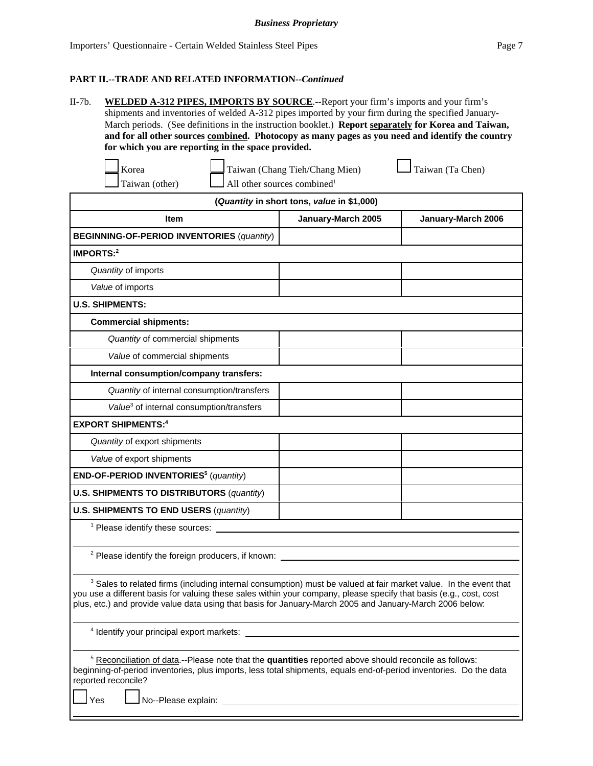II-7b. **WELDED A-312 PIPES, IMPORTS BY SOURCE**.--Report your firm's imports and your firm's shipments and inventories of welded A-312 pipes imported by your firm during the specified January-March periods. (See definitions in the instruction booklet.) **Report separately for Korea and Taiwan, and for all other sources combined. Photocopy as many pages as you need and identify the country for which you are reporting in the space provided.**

| Korea          | Taiwan (Chang Tieh/Chang Mien)                 | $\Box$ Taiwan (Ta Chen) |
|----------------|------------------------------------------------|-------------------------|
| Taiwan (other) | $\Box$ All other sources combined <sup>1</sup> |                         |

| (Quantity in short tons, value in \$1,000)           |                                          |  |  |  |  |  |  |  |  |  |
|------------------------------------------------------|------------------------------------------|--|--|--|--|--|--|--|--|--|
| <b>Item</b>                                          | January-March 2005<br>January-March 2006 |  |  |  |  |  |  |  |  |  |
| <b>BEGINNING-OF-PERIOD INVENTORIES (quantity)</b>    |                                          |  |  |  |  |  |  |  |  |  |
| IMPORTS: $2$                                         |                                          |  |  |  |  |  |  |  |  |  |
| Quantity of imports                                  |                                          |  |  |  |  |  |  |  |  |  |
| Value of imports                                     |                                          |  |  |  |  |  |  |  |  |  |
| <b>U.S. SHIPMENTS:</b>                               |                                          |  |  |  |  |  |  |  |  |  |
| <b>Commercial shipments:</b>                         |                                          |  |  |  |  |  |  |  |  |  |
| Quantity of commercial shipments                     |                                          |  |  |  |  |  |  |  |  |  |
| Value of commercial shipments                        |                                          |  |  |  |  |  |  |  |  |  |
| Internal consumption/company transfers:              |                                          |  |  |  |  |  |  |  |  |  |
| Quantity of internal consumption/transfers           |                                          |  |  |  |  |  |  |  |  |  |
| Value <sup>3</sup> of internal consumption/transfers |                                          |  |  |  |  |  |  |  |  |  |
| <b>EXPORT SHIPMENTS:4</b>                            |                                          |  |  |  |  |  |  |  |  |  |
| Quantity of export shipments                         |                                          |  |  |  |  |  |  |  |  |  |
| Value of export shipments                            |                                          |  |  |  |  |  |  |  |  |  |
| END-OF-PERIOD INVENTORIES <sup>5</sup> (quantity)    |                                          |  |  |  |  |  |  |  |  |  |
| <b>U.S. SHIPMENTS TO DISTRIBUTORS (quantity)</b>     |                                          |  |  |  |  |  |  |  |  |  |
| <b>U.S. SHIPMENTS TO END USERS (quantity)</b>        |                                          |  |  |  |  |  |  |  |  |  |
| <sup>1</sup> Please identify these sources:          |                                          |  |  |  |  |  |  |  |  |  |

<sup>2</sup> Please identify the foreign producers, if known:

 $3$  Sales to related firms (including internal consumption) must be valued at fair market value. In the event that you use a different basis for valuing these sales within your company, please specify that basis (e.g., cost, cost plus, etc.) and provide value data using that basis for January-March 2005 and January-March 2006 below:

4 Identify your principal export markets:

<sup>5</sup> Reconciliation of data.--Please note that the **quantities** reported above should reconcile as follows: beginning-of-period inventories, plus imports, less total shipments, equals end-of-period inventories. Do the data reported reconcile?

Yes Low No--Please explain: <u>Community Community of Australian Step Australian Community Community Orient</u>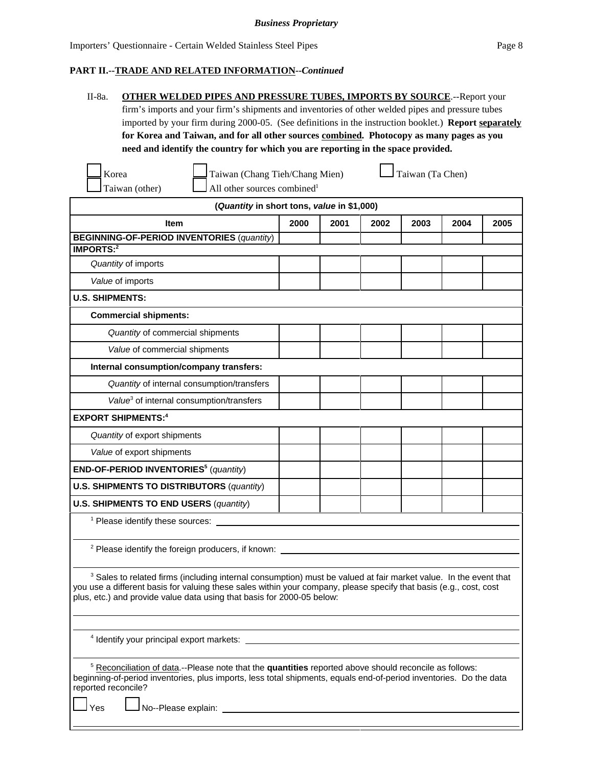| II-8a. | <b>OTHER WELDED PIPES AND PRESSURE TUBES, IMPORTS BY SOURCE.</b> --Report your                               |
|--------|--------------------------------------------------------------------------------------------------------------|
|        | firm's imports and your firm's shipments and inventories of other welded pipes and pressure tubes            |
|        | imported by your firm during 2000-05. (See definitions in the instruction booklet.) <b>Report separately</b> |
|        | for Korea and Taiwan, and for all other sources combined. Photocopy as many pages as you                     |
|        | need and identify the country for which you are reporting in the space provided.                             |

| Korea          | Taiwan (Chang Tieh/Chang                       |
|----------------|------------------------------------------------|
| Taiwan (other) | $\Box$ All other sources combined <sup>1</sup> |

Taiwan (Chang Tieh/Chang Mien)  $\Box$  Taiwan (Ta Chen)

| (Quantity in short tons, value in \$1,000)                                                                                                                                                                                                                                                                                  |      |      |      |      |      |      |  |
|-----------------------------------------------------------------------------------------------------------------------------------------------------------------------------------------------------------------------------------------------------------------------------------------------------------------------------|------|------|------|------|------|------|--|
| <b>Item</b>                                                                                                                                                                                                                                                                                                                 | 2000 | 2001 | 2002 | 2003 | 2004 | 2005 |  |
| <b>BEGINNING-OF-PERIOD INVENTORIES (quantity)</b>                                                                                                                                                                                                                                                                           |      |      |      |      |      |      |  |
| <b>IMPORTS:2</b>                                                                                                                                                                                                                                                                                                            |      |      |      |      |      |      |  |
| Quantity of imports                                                                                                                                                                                                                                                                                                         |      |      |      |      |      |      |  |
| Value of imports                                                                                                                                                                                                                                                                                                            |      |      |      |      |      |      |  |
| <b>U.S. SHIPMENTS:</b>                                                                                                                                                                                                                                                                                                      |      |      |      |      |      |      |  |
| <b>Commercial shipments:</b>                                                                                                                                                                                                                                                                                                |      |      |      |      |      |      |  |
| Quantity of commercial shipments                                                                                                                                                                                                                                                                                            |      |      |      |      |      |      |  |
| Value of commercial shipments                                                                                                                                                                                                                                                                                               |      |      |      |      |      |      |  |
| Internal consumption/company transfers:                                                                                                                                                                                                                                                                                     |      |      |      |      |      |      |  |
| Quantity of internal consumption/transfers                                                                                                                                                                                                                                                                                  |      |      |      |      |      |      |  |
| Value <sup>3</sup> of internal consumption/transfers                                                                                                                                                                                                                                                                        |      |      |      |      |      |      |  |
| <b>EXPORT SHIPMENTS:4</b>                                                                                                                                                                                                                                                                                                   |      |      |      |      |      |      |  |
| Quantity of export shipments                                                                                                                                                                                                                                                                                                |      |      |      |      |      |      |  |
| Value of export shipments                                                                                                                                                                                                                                                                                                   |      |      |      |      |      |      |  |
| END-OF-PERIOD INVENTORIES <sup>5</sup> (quantity)                                                                                                                                                                                                                                                                           |      |      |      |      |      |      |  |
| <b>U.S. SHIPMENTS TO DISTRIBUTORS (quantity)</b>                                                                                                                                                                                                                                                                            |      |      |      |      |      |      |  |
| <b>U.S. SHIPMENTS TO END USERS (quantity)</b>                                                                                                                                                                                                                                                                               |      |      |      |      |      |      |  |
| <sup>1</sup> Please identify these sources:                                                                                                                                                                                                                                                                                 |      |      |      |      |      |      |  |
|                                                                                                                                                                                                                                                                                                                             |      |      |      |      |      |      |  |
| <sup>2</sup> Please identify the foreign producers, if known:                                                                                                                                                                                                                                                               |      |      |      |      |      |      |  |
|                                                                                                                                                                                                                                                                                                                             |      |      |      |      |      |      |  |
| <sup>3</sup> Sales to related firms (including internal consumption) must be valued at fair market value. In the event that<br>you use a different basis for valuing these sales within your company, please specify that basis (e.g., cost, cost<br>plus, etc.) and provide value data using that basis for 2000-05 below: |      |      |      |      |      |      |  |
|                                                                                                                                                                                                                                                                                                                             |      |      |      |      |      |      |  |
| <sup>4</sup> Identify your principal export markets:                                                                                                                                                                                                                                                                        |      |      |      |      |      |      |  |
|                                                                                                                                                                                                                                                                                                                             |      |      |      |      |      |      |  |

<sup>5</sup> Reconciliation of data.--Please note that the **quantities** reported above should reconcile as follows: beginning-of-period inventories, plus imports, less total shipments, equals end-of-period inventories. Do the data reported reconcile?

 $\log$   $\Box$  No--Please explain: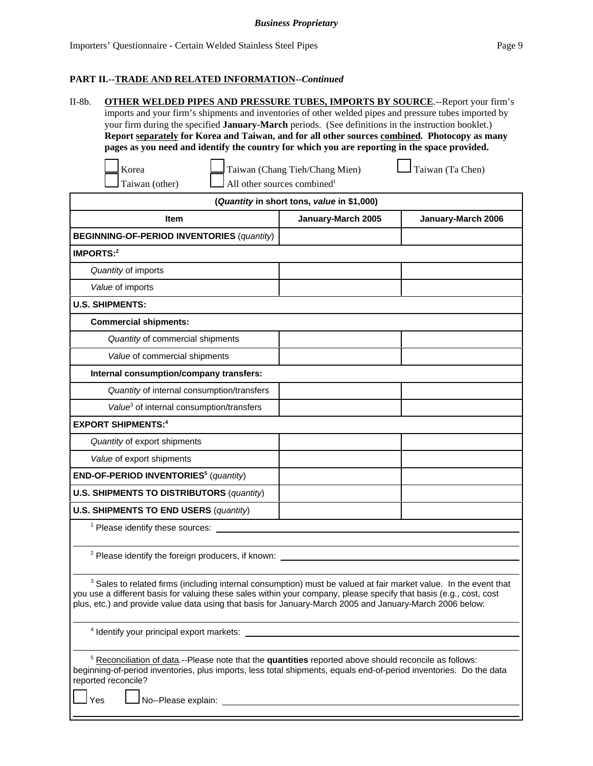| II-8b. | <b>OTHER WELDED PIPES AND PRESSURE TUBES, IMPORTS BY SOURCE.--Report your firm's</b>                       |
|--------|------------------------------------------------------------------------------------------------------------|
|        | imports and your firm's shipments and inventories of other welded pipes and pressure tubes imported by     |
|        | your firm during the specified <b>January-March</b> periods. (See definitions in the instruction booklet.) |
|        | Report separately for Korea and Taiwan, and for all other sources combined. Photocopy as many              |
|        | pages as you need and identify the country for which you are reporting in the space provided.              |

| Korea |  |                                 | Taiwan (Chang Tieh/Chang |  |  |
|-------|--|---------------------------------|--------------------------|--|--|
| . .   |  | $\frac{1}{2}$ and $\frac{1}{2}$ |                          |  |  |

 $Mien)$   $\Box$  Taiwan (Ta Chen)

| Taiwan (oth |  |
|-------------|--|
|             |  |

 $\Box$  All other sources combined<sup>1</sup>

**(***Quantity* **in short tons,** *value* **in \$1,000)**

| $($ Quantity in Short tons, value in $\phi$ i,000)            |                    |                    |  |  |  |  |
|---------------------------------------------------------------|--------------------|--------------------|--|--|--|--|
| <b>Item</b>                                                   | January-March 2005 | January-March 2006 |  |  |  |  |
| <b>BEGINNING-OF-PERIOD INVENTORIES (quantity)</b>             |                    |                    |  |  |  |  |
| IMPORTS: $2$                                                  |                    |                    |  |  |  |  |
| Quantity of imports                                           |                    |                    |  |  |  |  |
| Value of imports                                              |                    |                    |  |  |  |  |
| <b>U.S. SHIPMENTS:</b>                                        |                    |                    |  |  |  |  |
| <b>Commercial shipments:</b>                                  |                    |                    |  |  |  |  |
| Quantity of commercial shipments                              |                    |                    |  |  |  |  |
| Value of commercial shipments                                 |                    |                    |  |  |  |  |
| Internal consumption/company transfers:                       |                    |                    |  |  |  |  |
| Quantity of internal consumption/transfers                    |                    |                    |  |  |  |  |
| Value <sup>3</sup> of internal consumption/transfers          |                    |                    |  |  |  |  |
| <b>EXPORT SHIPMENTS:4</b>                                     |                    |                    |  |  |  |  |
| Quantity of export shipments                                  |                    |                    |  |  |  |  |
| Value of export shipments                                     |                    |                    |  |  |  |  |
| END-OF-PERIOD INVENTORIES <sup>5</sup> (quantity)             |                    |                    |  |  |  |  |
| <b>U.S. SHIPMENTS TO DISTRIBUTORS (quantity)</b>              |                    |                    |  |  |  |  |
| <b>U.S. SHIPMENTS TO END USERS (quantity)</b>                 |                    |                    |  |  |  |  |
| <sup>1</sup> Please identify these sources:                   |                    |                    |  |  |  |  |
|                                                               |                    |                    |  |  |  |  |
| <sup>2</sup> Please identify the foreign producers, if known: |                    |                    |  |  |  |  |

 $3$  Sales to related firms (including internal consumption) must be valued at fair market value. In the event that you use a different basis for valuing these sales within your company, please specify that basis (e.g., cost, cost plus, etc.) and provide value data using that basis for January-March 2005 and January-March 2006 below:

4 Identify your principal export markets:

<sup>5</sup> Reconciliation of data.--Please note that the **quantities** reported above should reconcile as follows: beginning-of-period inventories, plus imports, less total shipments, equals end-of-period inventories. Do the data reported reconcile?

Yes Low No--Please explain: <u>Community Community Community Community Community Community</u>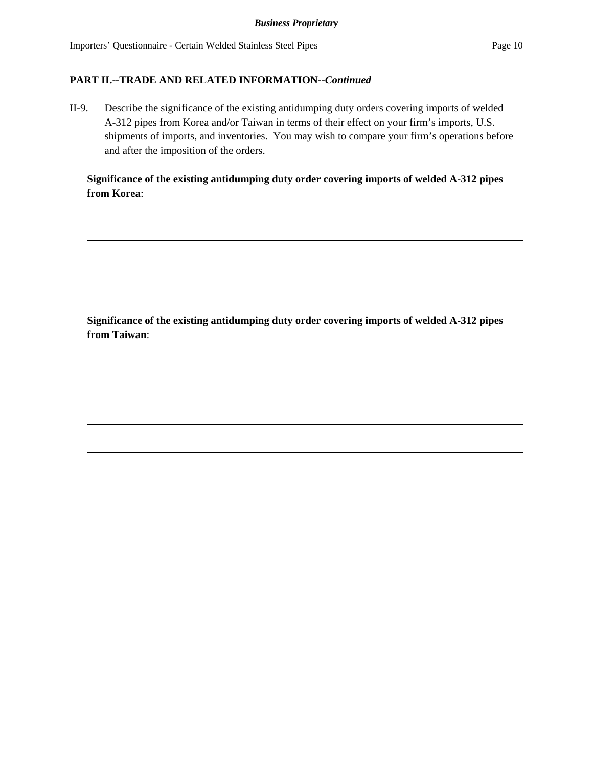II-9. Describe the significance of the existing antidumping duty orders covering imports of welded A-312 pipes from Korea and/or Taiwan in terms of their effect on your firm's imports, U.S. shipments of imports, and inventories. You may wish to compare your firm's operations before and after the imposition of the orders.

## **Significance of the existing antidumping duty order covering imports of welded A-312 pipes from Korea**:

**Significance of the existing antidumping duty order covering imports of welded A-312 pipes from Taiwan**: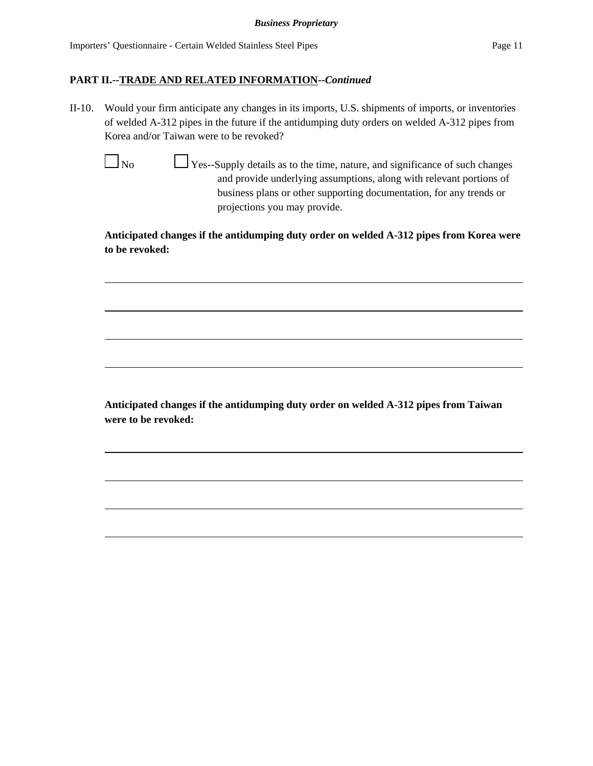II-10. Would your firm anticipate any changes in its imports, U.S. shipments of imports, or inventories of welded A-312 pipes in the future if the antidumping duty orders on welded A-312 pipes from Korea and/or Taiwan were to be revoked?

 $\Box$  No  $\Box$  Yes--Supply details as to the time, nature, and significance of such changes and provide underlying assumptions, along with relevant portions of business plans or other supporting documentation, for any trends or projections you may provide.

**Anticipated changes if the antidumping duty order on welded A-312 pipes from Korea were to be revoked:**

**Anticipated changes if the antidumping duty order on welded A-312 pipes from Taiwan were to be revoked:**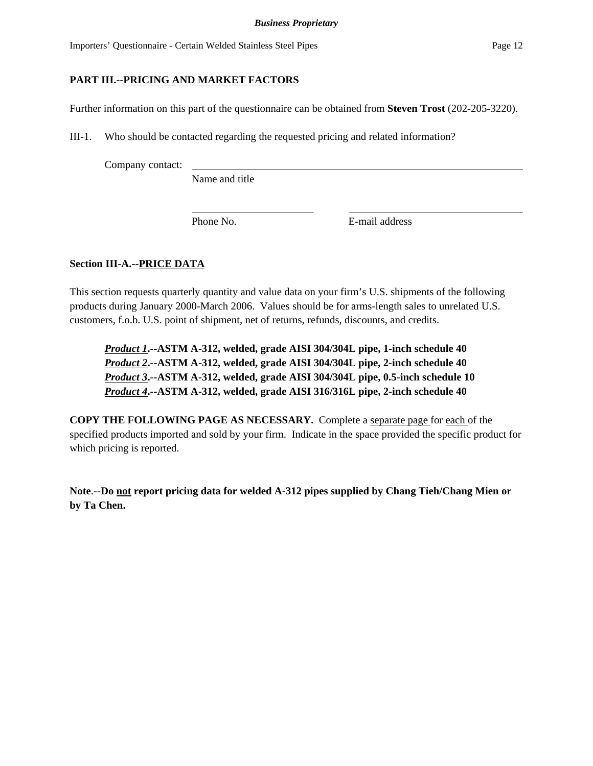## **PART III.--PRICING AND MARKET FACTORS**

Further information on this part of the questionnaire can be obtained from **Steven Trost** (202-205-3220).

III-1. Who should be contacted regarding the requested pricing and related information?

Company contact:

Name and title

Phone No. **E**-mail address

## **Section III-A.--PRICE DATA**

This section requests quarterly quantity and value data on your firm's U.S. shipments of the following products during January 2000-March 2006. Values should be for arms-length sales to unrelated U.S. customers, f.o.b. U.S. point of shipment, net of returns, refunds, discounts, and credits.

*Product 1***.--ASTM A-312, welded, grade AISI 304/304L pipe, 1-inch schedule 40** *Product 2***.--ASTM A-312, welded, grade AISI 304/304L pipe, 2-inch schedule 40** *Product 3***.--ASTM A-312, welded, grade AISI 304/304L pipe, 0.5-inch schedule 10** *Product 4***.--ASTM A-312, welded, grade AISI 316/316L pipe, 2-inch schedule 40**

**COPY THE FOLLOWING PAGE AS NECESSARY.** Complete a separate page for each of the specified products imported and sold by your firm. Indicate in the space provided the specific product for which pricing is reported.

**Note**.--**Do not report pricing data for welded A-312 pipes supplied by Chang Tieh/Chang Mien or by Ta Chen.**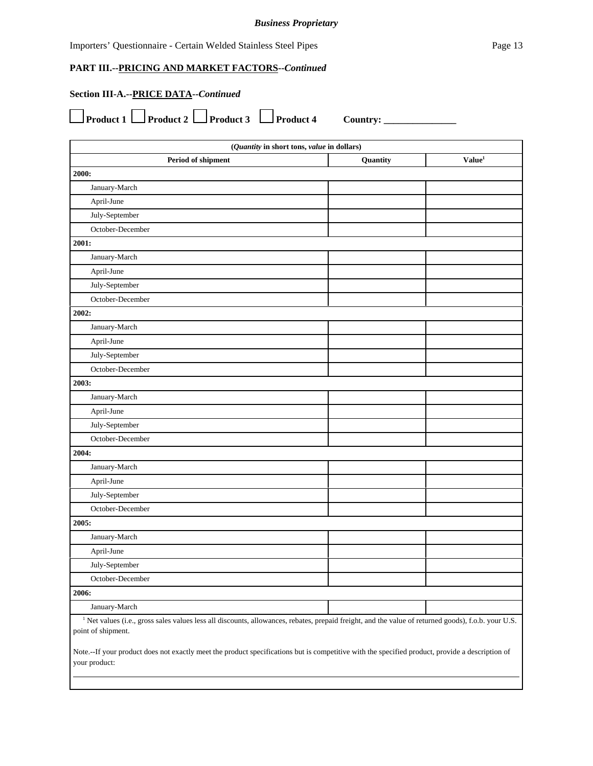#### *Business Proprietary*

Importers' Questionnaire - Certain Welded Stainless Steel Pipes Page 13

**PART III.--PRICING AND MARKET FACTORS--***Continued*

## **Section III-A.--PRICE DATA--***Continued*

|  | $\Box$ Product 1 $\Box$ Product 2 $\Box$ Product 3 $\Box$ Product 4 Country: |  |
|--|------------------------------------------------------------------------------|--|

| (Quantity in short tons, value in dollars)                                                                                                                       |                                |  |  |  |  |  |  |  |
|------------------------------------------------------------------------------------------------------------------------------------------------------------------|--------------------------------|--|--|--|--|--|--|--|
| Period of shipment                                                                                                                                               | Value <sup>1</sup><br>Quantity |  |  |  |  |  |  |  |
| 2000:                                                                                                                                                            |                                |  |  |  |  |  |  |  |
| January-March                                                                                                                                                    |                                |  |  |  |  |  |  |  |
| April-June                                                                                                                                                       |                                |  |  |  |  |  |  |  |
| July-September                                                                                                                                                   |                                |  |  |  |  |  |  |  |
| October-December                                                                                                                                                 |                                |  |  |  |  |  |  |  |
| 2001:                                                                                                                                                            |                                |  |  |  |  |  |  |  |
| January-March                                                                                                                                                    |                                |  |  |  |  |  |  |  |
| April-June                                                                                                                                                       |                                |  |  |  |  |  |  |  |
| July-September                                                                                                                                                   |                                |  |  |  |  |  |  |  |
| October-December                                                                                                                                                 |                                |  |  |  |  |  |  |  |
| 2002:                                                                                                                                                            |                                |  |  |  |  |  |  |  |
| January-March                                                                                                                                                    |                                |  |  |  |  |  |  |  |
| April-June                                                                                                                                                       |                                |  |  |  |  |  |  |  |
| July-September                                                                                                                                                   |                                |  |  |  |  |  |  |  |
| October-December                                                                                                                                                 |                                |  |  |  |  |  |  |  |
| 2003:                                                                                                                                                            |                                |  |  |  |  |  |  |  |
| January-March                                                                                                                                                    |                                |  |  |  |  |  |  |  |
| April-June                                                                                                                                                       |                                |  |  |  |  |  |  |  |
| July-September                                                                                                                                                   |                                |  |  |  |  |  |  |  |
| October-December                                                                                                                                                 |                                |  |  |  |  |  |  |  |
| 2004:                                                                                                                                                            |                                |  |  |  |  |  |  |  |
| January-March                                                                                                                                                    |                                |  |  |  |  |  |  |  |
| April-June                                                                                                                                                       |                                |  |  |  |  |  |  |  |
| July-September                                                                                                                                                   |                                |  |  |  |  |  |  |  |
| October-December                                                                                                                                                 |                                |  |  |  |  |  |  |  |
| 2005:                                                                                                                                                            |                                |  |  |  |  |  |  |  |
| January-March                                                                                                                                                    |                                |  |  |  |  |  |  |  |
| April-June                                                                                                                                                       |                                |  |  |  |  |  |  |  |
| July-September                                                                                                                                                   |                                |  |  |  |  |  |  |  |
| October-December                                                                                                                                                 |                                |  |  |  |  |  |  |  |
| 2006:                                                                                                                                                            |                                |  |  |  |  |  |  |  |
| January-March                                                                                                                                                    |                                |  |  |  |  |  |  |  |
| <sup>1</sup> Net values (i.e., gross sales values less all discounts, allowances, rebates, prepaid freight, and the value of returned goods), f.o.b. your U.S.   |                                |  |  |  |  |  |  |  |
| point of shipment.                                                                                                                                               |                                |  |  |  |  |  |  |  |
| Note.--If your product does not exactly meet the product specifications but is competitive with the specified product, provide a description of<br>your product: |                                |  |  |  |  |  |  |  |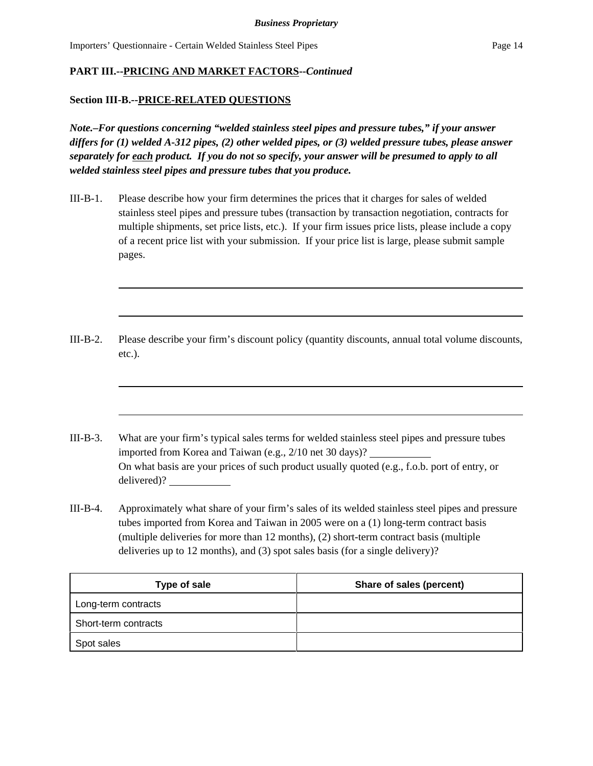#### **Section III-B.--PRICE-RELATED QUESTIONS**

*Note.–For questions concerning "welded stainless steel pipes and pressure tubes," if your answer differs for (1) welded A-312 pipes, (2) other welded pipes, or (3) welded pressure tubes, please answer separately for each product. If you do not so specify, your answer will be presumed to apply to all welded stainless steel pipes and pressure tubes that you produce.*

- III-B-1. Please describe how your firm determines the prices that it charges for sales of welded stainless steel pipes and pressure tubes (transaction by transaction negotiation, contracts for multiple shipments, set price lists, etc.). If your firm issues price lists, please include a copy of a recent price list with your submission. If your price list is large, please submit sample pages.
- III-B-2. Please describe your firm's discount policy (quantity discounts, annual total volume discounts, etc.).
- III-B-3. What are your firm's typical sales terms for welded stainless steel pipes and pressure tubes imported from Korea and Taiwan (e.g., 2/10 net 30 days)? On what basis are your prices of such product usually quoted (e.g., f.o.b. port of entry, or delivered)?
- III-B-4. Approximately what share of your firm's sales of its welded stainless steel pipes and pressure tubes imported from Korea and Taiwan in 2005 were on a (1) long-term contract basis (multiple deliveries for more than 12 months), (2) short-term contract basis (multiple deliveries up to 12 months), and (3) spot sales basis (for a single delivery)?

| Type of sale         | Share of sales (percent) |
|----------------------|--------------------------|
| Long-term contracts  |                          |
| Short-term contracts |                          |
| Spot sales           |                          |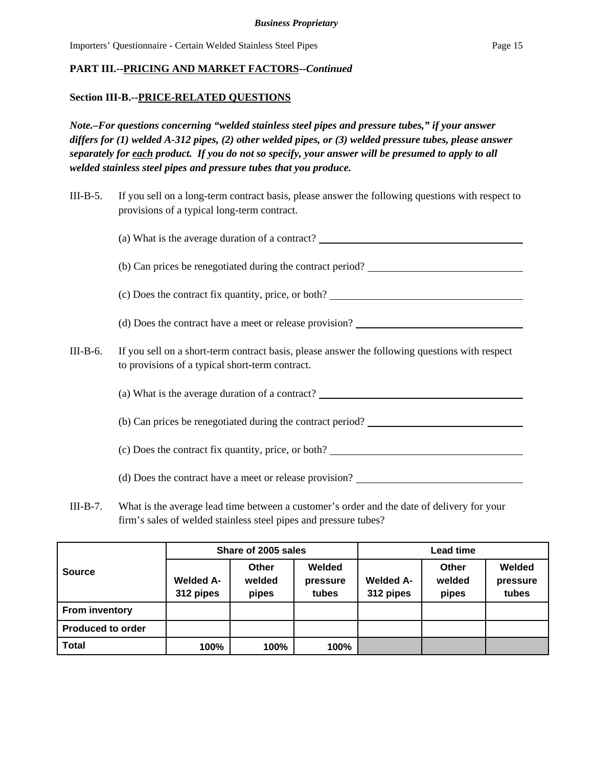#### **Section III-B.--PRICE-RELATED QUESTIONS**

*Note.–For questions concerning "welded stainless steel pipes and pressure tubes," if your answer differs for (1) welded A-312 pipes, (2) other welded pipes, or (3) welded pressure tubes, please answer separately for each product. If you do not so specify, your answer will be presumed to apply to all welded stainless steel pipes and pressure tubes that you produce.*

| $III-B-5.$ | If you sell on a long-term contract basis, please answer the following questions with respect to<br>provisions of a typical long-term contract. |  |  |  |  |  |
|------------|-------------------------------------------------------------------------------------------------------------------------------------------------|--|--|--|--|--|
|            | (a) What is the average duration of a contract?                                                                                                 |  |  |  |  |  |
|            | (b) Can prices be renegotiated during the contract period?                                                                                      |  |  |  |  |  |
|            | (c) Does the contract fix quantity, price, or both?                                                                                             |  |  |  |  |  |
|            | (d) Does the contract have a meet or release provision?                                                                                         |  |  |  |  |  |

III-B-6. If you sell on a short-term contract basis, please answer the following questions with respect to provisions of a typical short-term contract.

(a) What is the average duration of a contract?

(b) Can prices be renegotiated during the contract period?

(c) Does the contract fix quantity, price, or both?

(d) Does the contract have a meet or release provision?

III-B-7. What is the average lead time between a customer's order and the date of delivery for your firm's sales of welded stainless steel pipes and pressure tubes?

|                          |                               | Share of 2005 sales      |                             | Lead time                     |                          |                             |
|--------------------------|-------------------------------|--------------------------|-----------------------------|-------------------------------|--------------------------|-----------------------------|
| <b>Source</b>            | <b>Welded A-</b><br>312 pipes | Other<br>welded<br>pipes | Welded<br>pressure<br>tubes | <b>Welded A-</b><br>312 pipes | Other<br>welded<br>pipes | Welded<br>pressure<br>tubes |
| <b>From inventory</b>    |                               |                          |                             |                               |                          |                             |
| <b>Produced to order</b> |                               |                          |                             |                               |                          |                             |
| <b>Total</b>             | 100%                          | 100%                     | 100%                        |                               |                          |                             |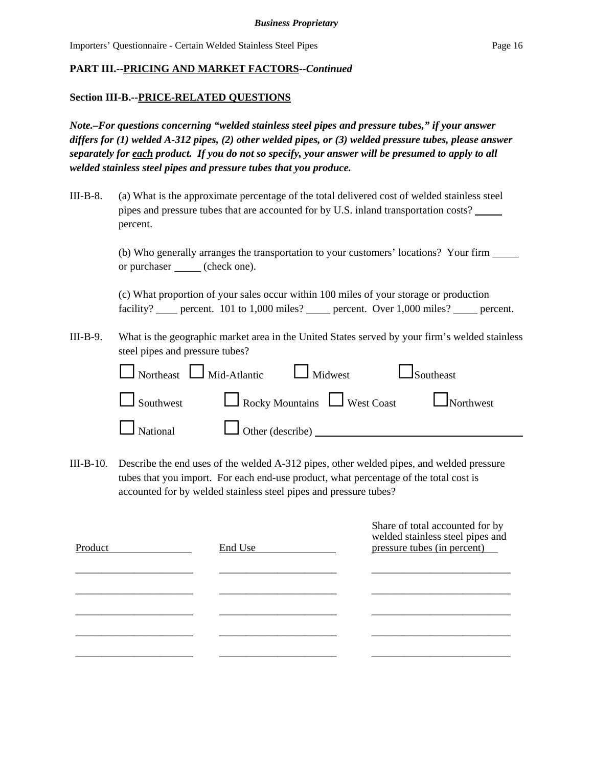#### **Section III-B.--PRICE-RELATED QUESTIONS**

*Note.–For questions concerning "welded stainless steel pipes and pressure tubes," if your answer differs for (1) welded A-312 pipes, (2) other welded pipes, or (3) welded pressure tubes, please answer separately for each product. If you do not so specify, your answer will be presumed to apply to all welded stainless steel pipes and pressure tubes that you produce.*

III-B-8. (a) What is the approximate percentage of the total delivered cost of welded stainless steel pipes and pressure tubes that are accounted for by U.S. inland transportation costs? percent.

> (b) Who generally arranges the transportation to your customers' locations? Your firm or purchaser \_\_\_\_\_ (check one).

> (c) What proportion of your sales occur within 100 miles of your storage or production facility? percent. 101 to 1,000 miles? percent. Over 1,000 miles? percent.

III-B-9. What is the geographic market area in the United States served by your firm's welded stainless steel pipes and pressure tubes?

|                                                | $\Box$ Northeast $\Box$ Mid-Atlantic $\Box$ Midwest $\Box$ Southeast |                                                |
|------------------------------------------------|----------------------------------------------------------------------|------------------------------------------------|
|                                                |                                                                      | Southwest Rocky Mountains West Coast Northwest |
| $\Box$ National $\Box$ Other (describe) $\Box$ |                                                                      |                                                |

III-B-10. Describe the end uses of the welded A-312 pipes, other welded pipes, and welded pressure tubes that you import. For each end-use product, what percentage of the total cost is accounted for by welded stainless steel pipes and pressure tubes?

| Product | End Use | Share of total accounted for by<br>welded stainless steel pipes and<br>pressure tubes (in percent) |
|---------|---------|----------------------------------------------------------------------------------------------------|
|         |         |                                                                                                    |
|         |         |                                                                                                    |
|         |         |                                                                                                    |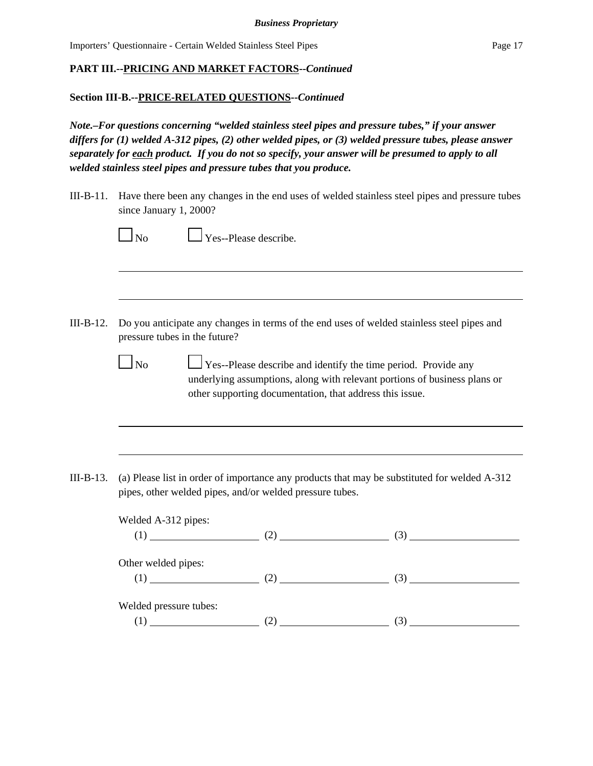## **Section III-B.--PRICE-RELATED QUESTIONS--***Continued*

*Note.–For questions concerning "welded stainless steel pipes and pressure tubes," if your answer differs for (1) welded A-312 pipes, (2) other welded pipes, or (3) welded pressure tubes, please answer separately for each product. If you do not so specify, your answer will be presumed to apply to all welded stainless steel pipes and pressure tubes that you produce.*

III-B-11. Have there been any changes in the end uses of welded stainless steel pipes and pressure tubes since January 1, 2000?

|                     | pressure tubes in the future?                            | Do you anticipate any changes in terms of the end uses of welded stainless steel pipes and                                                         |
|---------------------|----------------------------------------------------------|----------------------------------------------------------------------------------------------------------------------------------------------------|
| $\Box$ No           | other supporting documentation, that address this issue. | $\Box$ Yes--Please describe and identify the time period. Provide any<br>underlying assumptions, along with relevant portions of business plans or |
|                     |                                                          |                                                                                                                                                    |
|                     |                                                          |                                                                                                                                                    |
|                     | pipes, other welded pipes, and/or welded pressure tubes. |                                                                                                                                                    |
|                     |                                                          |                                                                                                                                                    |
|                     | Welded A-312 pipes:                                      |                                                                                                                                                    |
|                     |                                                          |                                                                                                                                                    |
| Other welded pipes: |                                                          | (a) Please list in order of importance any products that may be substituted for welded A-312<br>(1) (2) (3) (3)<br>$(1)$ (1) (2) (2) (3)           |
|                     | Welded pressure tubes:                                   |                                                                                                                                                    |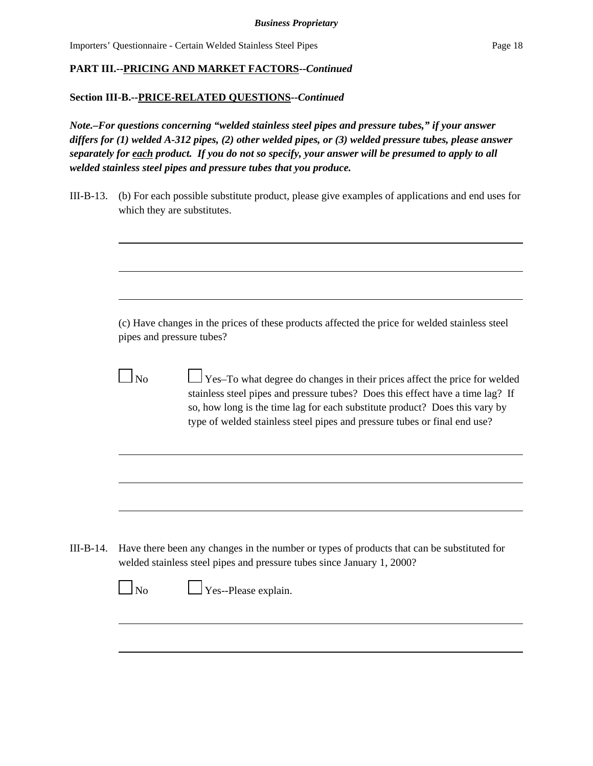#### **Section III-B.--PRICE-RELATED QUESTIONS--***Continued*

*Note.–For questions concerning "welded stainless steel pipes and pressure tubes," if your answer differs for (1) welded A-312 pipes, (2) other welded pipes, or (3) welded pressure tubes, please answer separately for each product. If you do not so specify, your answer will be presumed to apply to all welded stainless steel pipes and pressure tubes that you produce.*

III-B-13. (b) For each possible substitute product, please give examples of applications and end uses for which they are substitutes.

|                | (c) Have changes in the prices of these products affected the price for welded stainless steel<br>pipes and pressure tubes?                                                                                                                                                                                             |
|----------------|-------------------------------------------------------------------------------------------------------------------------------------------------------------------------------------------------------------------------------------------------------------------------------------------------------------------------|
| N <sub>0</sub> | Yes-To what degree do changes in their prices affect the price for welded<br>stainless steel pipes and pressure tubes? Does this effect have a time lag? If<br>so, how long is the time lag for each substitute product? Does this vary by<br>type of welded stainless steel pipes and pressure tubes or final end use? |
|                |                                                                                                                                                                                                                                                                                                                         |
|                |                                                                                                                                                                                                                                                                                                                         |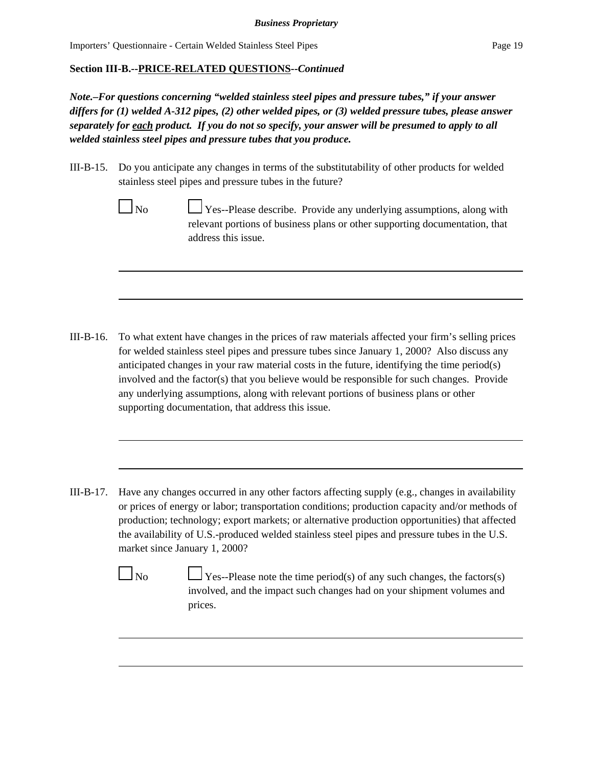#### **Section III-B.--PRICE-RELATED QUESTIONS--***Continued*

*Note.–For questions concerning "welded stainless steel pipes and pressure tubes," if your answer differs for (1) welded A-312 pipes, (2) other welded pipes, or (3) welded pressure tubes, please answer separately for each product. If you do not so specify, your answer will be presumed to apply to all welded stainless steel pipes and pressure tubes that you produce.*

III-B-15. Do you anticipate any changes in terms of the substitutability of other products for welded stainless steel pipes and pressure tubes in the future?

> $\log N_0$  Yes--Please describe. Provide any underlying assumptions, along with relevant portions of business plans or other supporting documentation, that address this issue.

- III-B-16. To what extent have changes in the prices of raw materials affected your firm's selling prices for welded stainless steel pipes and pressure tubes since January 1, 2000? Also discuss any anticipated changes in your raw material costs in the future, identifying the time period(s) involved and the factor(s) that you believe would be responsible for such changes. Provide any underlying assumptions, along with relevant portions of business plans or other supporting documentation, that address this issue.
- III-B-17. Have any changes occurred in any other factors affecting supply (e.g., changes in availability or prices of energy or labor; transportation conditions; production capacity and/or methods of production; technology; export markets; or alternative production opportunities) that affected the availability of U.S.-produced welded stainless steel pipes and pressure tubes in the U.S. market since January 1, 2000?

 $\Box$  Yes--Please note the time period(s) of any such changes, the factors(s) involved, and the impact such changes had on your shipment volumes and prices.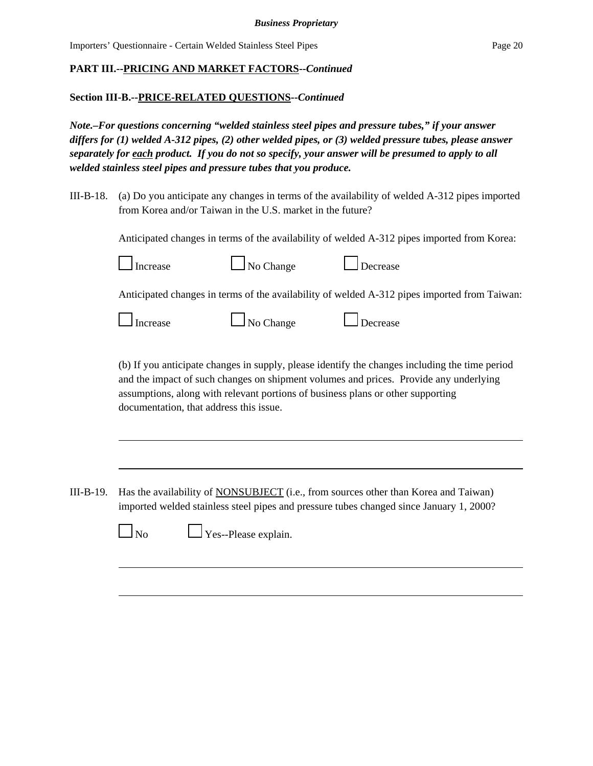## **Section III-B.--PRICE-RELATED QUESTIONS--***Continued*

*Note.–For questions concerning "welded stainless steel pipes and pressure tubes," if your answer differs for (1) welded A-312 pipes, (2) other welded pipes, or (3) welded pressure tubes, please answer separately for each product. If you do not so specify, your answer will be presumed to apply to all welded stainless steel pipes and pressure tubes that you produce.*

III-B-18. (a) Do you anticipate any changes in terms of the availability of welded A-312 pipes imported from Korea and/or Taiwan in the U.S. market in the future?

Anticipated changes in terms of the availability of welded A-312 pipes imported from Korea:





Anticipated changes in terms of the availability of welded A-312 pipes imported from Taiwan:

| Increase |
|----------|
|----------|

 $\Box$  No Change  $\Box$  Decrease

(b) If you anticipate changes in supply, please identify the changes including the time period and the impact of such changes on shipment volumes and prices. Provide any underlying assumptions, along with relevant portions of business plans or other supporting documentation, that address this issue.

III-B-19. Has the availability of NONSUBJECT (i.e., from sources other than Korea and Taiwan) imported welded stainless steel pipes and pressure tubes changed since January 1, 2000?



 $\Box$  No  $\Box$  Yes--Please explain.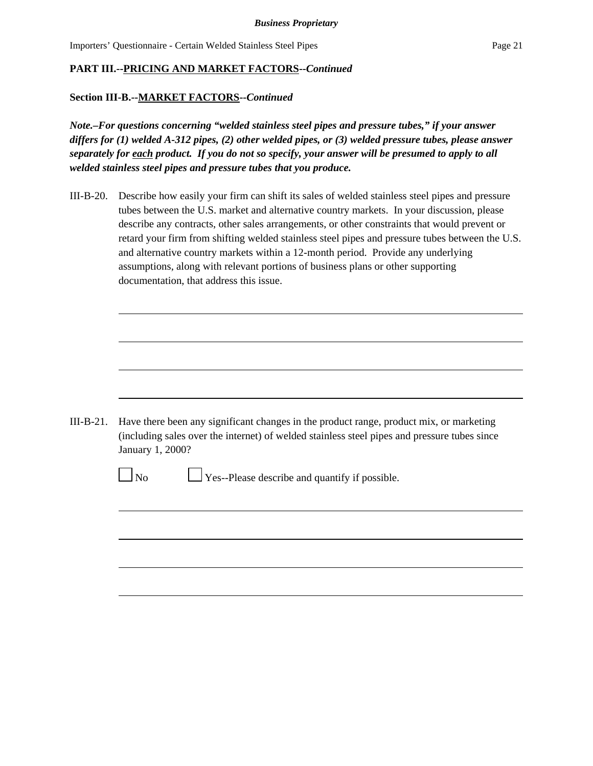#### **PART III.--PRICING AND MARKET FACTORS--***Continued*

#### **Section III-B.--MARKET FACTORS--***Continued*

*Note.–For questions concerning "welded stainless steel pipes and pressure tubes," if your answer differs for (1) welded A-312 pipes, (2) other welded pipes, or (3) welded pressure tubes, please answer separately for each product. If you do not so specify, your answer will be presumed to apply to all welded stainless steel pipes and pressure tubes that you produce.*

III-B-20. Describe how easily your firm can shift its sales of welded stainless steel pipes and pressure tubes between the U.S. market and alternative country markets. In your discussion, please describe any contracts, other sales arrangements, or other constraints that would prevent or retard your firm from shifting welded stainless steel pipes and pressure tubes between the U.S. and alternative country markets within a 12-month period. Provide any underlying assumptions, along with relevant portions of business plans or other supporting documentation, that address this issue.

III-B-21. Have there been any significant changes in the product range, product mix, or marketing (including sales over the internet) of welded stainless steel pipes and pressure tubes since January 1, 2000?

| ۰. |  |
|----|--|
|----|--|

 $\Box$  Yes--Please describe and quantify if possible.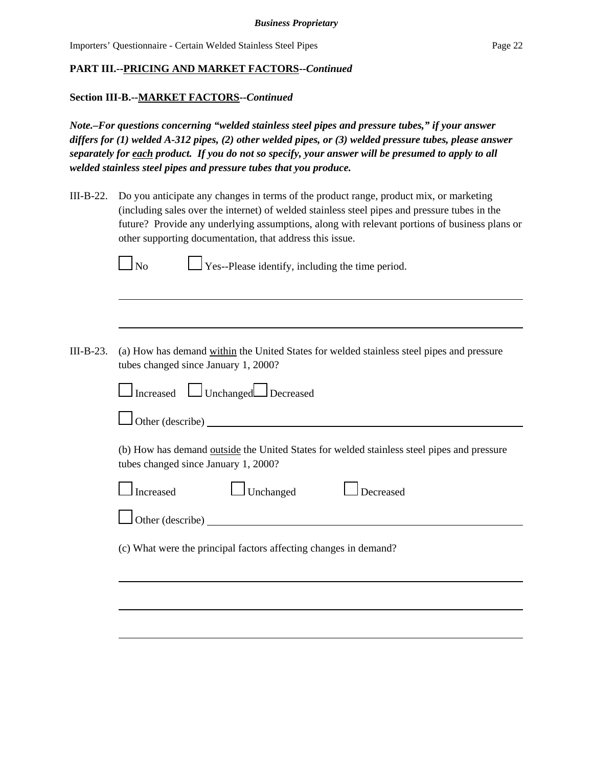#### **Section III-B.--MARKET FACTORS--***Continued*

*Note.–For questions concerning "welded stainless steel pipes and pressure tubes," if your answer differs for (1) welded A-312 pipes, (2) other welded pipes, or (3) welded pressure tubes, please answer separately for each product. If you do not so specify, your answer will be presumed to apply to all welded stainless steel pipes and pressure tubes that you produce.*

III-B-22. Do you anticipate any changes in terms of the product range, product mix, or marketing (including sales over the internet) of welded stainless steel pipes and pressure tubes in the future? Provide any underlying assumptions, along with relevant portions of business plans or other supporting documentation, that address this issue.

 $\bigcup$  Yes--Please identify, including the time period.

III-B-23. (a) How has demand within the United States for welded stainless steel pipes and pressure tubes changed since January 1, 2000?

|                                      | Increased Unchanged Decreased |                                                                                            |
|--------------------------------------|-------------------------------|--------------------------------------------------------------------------------------------|
| Other (describe)                     |                               |                                                                                            |
| tubes changed since January 1, 2000? |                               | (b) How has demand outside the United States for welded stainless steel pipes and pressure |
| $\Box$ Increased                     | $\Box$ Unchanged              | Decreased                                                                                  |
| $\Box$ Other (describe)              |                               |                                                                                            |

(c) What were the principal factors affecting changes in demand?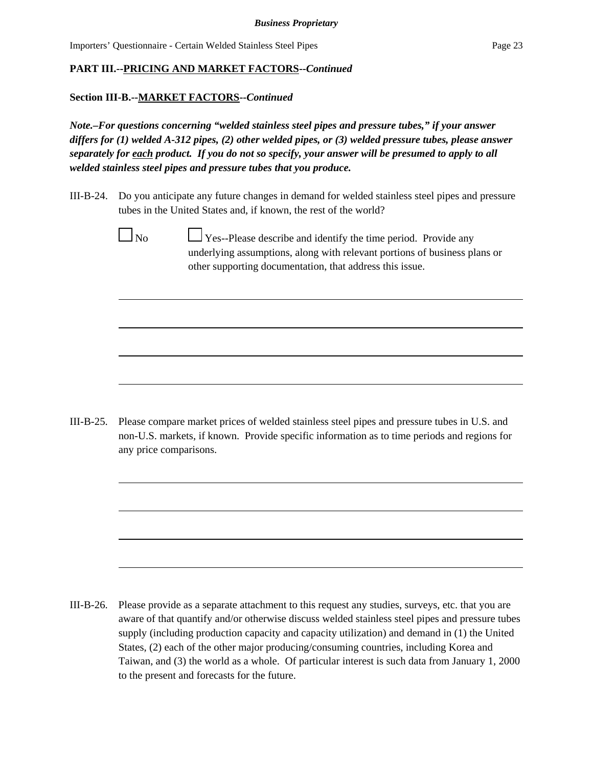#### **PART III.--PRICING AND MARKET FACTORS--***Continued*

#### **Section III-B.--MARKET FACTORS--***Continued*

*Note.–For questions concerning "welded stainless steel pipes and pressure tubes," if your answer differs for (1) welded A-312 pipes, (2) other welded pipes, or (3) welded pressure tubes, please answer separately for each product. If you do not so specify, your answer will be presumed to apply to all welded stainless steel pipes and pressure tubes that you produce.*

- III-B-24. Do you anticipate any future changes in demand for welded stainless steel pipes and pressure tubes in the United States and, if known, the rest of the world?
	-

 $\Box$  No  $\Box$  Yes--Please describe and identify the time period. Provide any underlying assumptions, along with relevant portions of business plans or other supporting documentation, that address this issue.

III-B-25. Please compare market prices of welded stainless steel pipes and pressure tubes in U.S. and non-U.S. markets, if known. Provide specific information as to time periods and regions for any price comparisons.

III-B-26. Please provide as a separate attachment to this request any studies, surveys, etc. that you are aware of that quantify and/or otherwise discuss welded stainless steel pipes and pressure tubes supply (including production capacity and capacity utilization) and demand in (1) the United States, (2) each of the other major producing/consuming countries, including Korea and Taiwan, and (3) the world as a whole. Of particular interest is such data from January 1, 2000 to the present and forecasts for the future.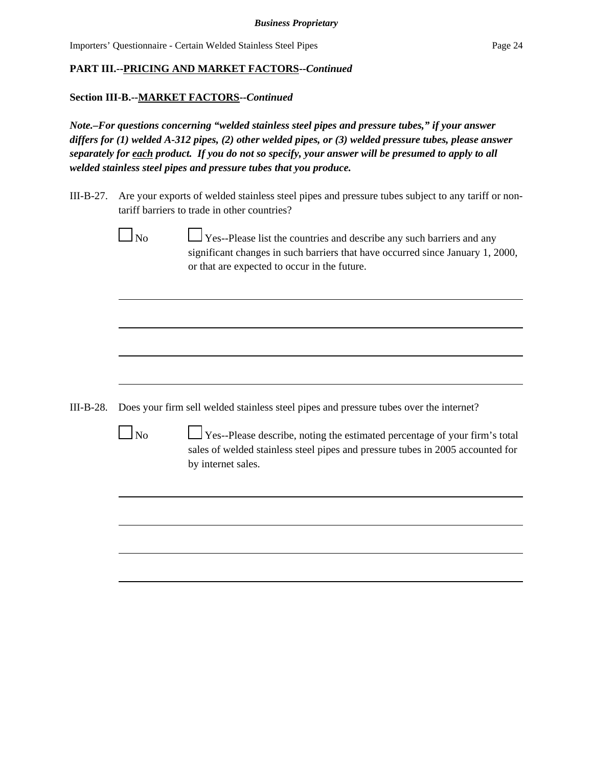#### **PART III.--PRICING AND MARKET FACTORS--***Continued*

#### **Section III-B.--MARKET FACTORS--***Continued*

*Note.–For questions concerning "welded stainless steel pipes and pressure tubes," if your answer differs for (1) welded A-312 pipes, (2) other welded pipes, or (3) welded pressure tubes, please answer separately for each product. If you do not so specify, your answer will be presumed to apply to all welded stainless steel pipes and pressure tubes that you produce.*

- III-B-27. Are your exports of welded stainless steel pipes and pressure tubes subject to any tariff or nontariff barriers to trade in other countries?
	- $\Box$  No  $\Box$  Yes--Please list the countries and describe any such barriers and any significant changes in such barriers that have occurred since January 1, 2000, or that are expected to occur in the future.

- III-B-28. Does your firm sell welded stainless steel pipes and pressure tubes over the internet?
	-

 $\Box$  No  $\Box$  Yes--Please describe, noting the estimated percentage of your firm's total sales of welded stainless steel pipes and pressure tubes in 2005 accounted for by internet sales.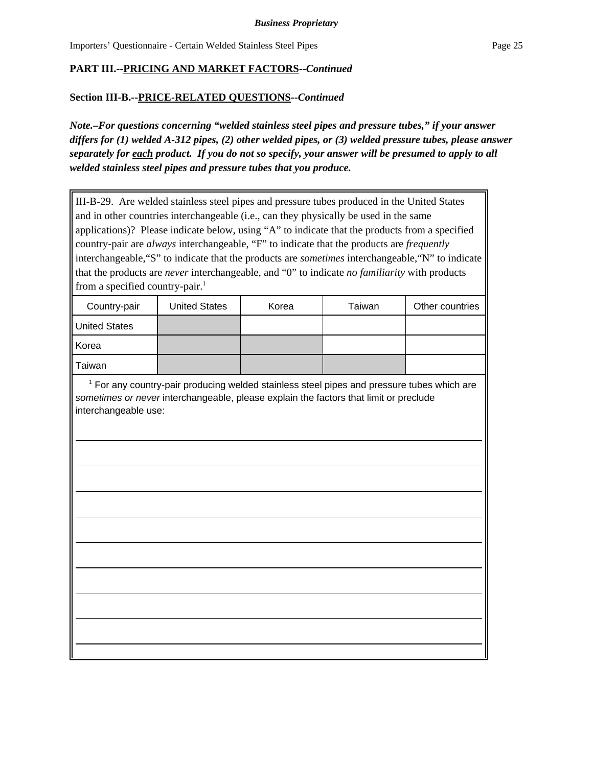#### **Section III-B.--PRICE-RELATED QUESTIONS--***Continued*

*Note.–For questions concerning "welded stainless steel pipes and pressure tubes," if your answer differs for (1) welded A-312 pipes, (2) other welded pipes, or (3) welded pressure tubes, please answer separately for each product. If you do not so specify, your answer will be presumed to apply to all welded stainless steel pipes and pressure tubes that you produce.*

III-B-29. Are welded stainless steel pipes and pressure tubes produced in the United States and in other countries interchangeable (i.e., can they physically be used in the same applications)? Please indicate below, using "A" to indicate that the products from a specified country-pair are *always* interchangeable, "F" to indicate that the products are *frequently* interchangeable,"S" to indicate that the products are *sometimes* interchangeable,"N" to indicate that the products are *never* interchangeable, and "0" to indicate *no familiarity* with products from a specified country-pair.<sup>1</sup> Country-pair | United States | Korea | Taiwan | Other countries United States Korea Taiwan <sup>1</sup> For any country-pair producing welded stainless steel pipes and pressure tubes which are *sometimes or never* interchangeable, please explain the factors that limit or preclude interchangeable use: